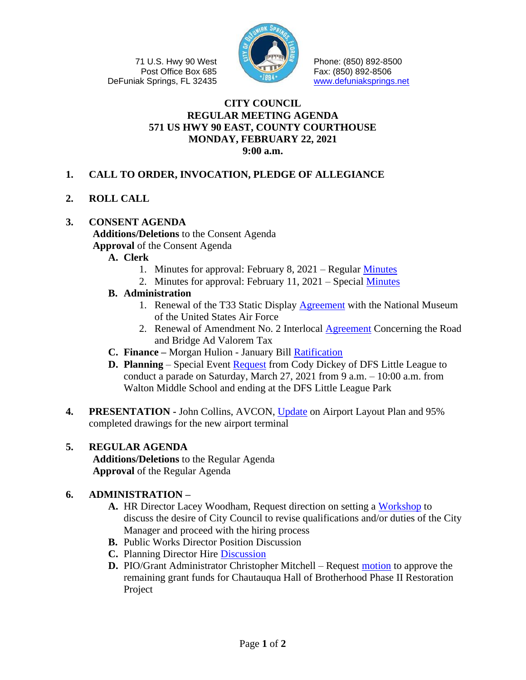71 U.S. Hwy 90 West Post Office Box 685 DeFuniak Springs, FL 32435



Phone: (850) 892-8500 Fax: (850) 892-8506 [www.defuniaksprings.net](http://www.defuniaksprings.net/)

## **CITY COUNCIL REGULAR MEETING AGENDA 571 US HWY 90 EAST, COUNTY COURTHOUSE MONDAY, FEBRUARY 22, 2021 9:00 a.m.**

- **1. CALL TO ORDER, INVOCATION, PLEDGE OF ALLEGIANCE**
- **2. ROLL CALL**

# **3. CONSENT AGENDA**

**Additions/Deletions** to the Consent Agenda **Approval** of the Consent Agenda

- **A. Clerk**
	- 1. Minutes for approval: February 8, 2021 Regular [Minutes](https://www.defuniaksprings.net/DocumentCenter/View/15430/Item3A1CC02082021-Regular-Meeting-Minutes--Draft)
	- 2. Minutes for approval: February 11, 2021 Special [Minutes](https://www.defuniaksprings.net/DocumentCenter/View/15431/Item3A202112021-Council-Special-Meeting-Minutes)
- **B. Administration** 
	- 1. Renewal of the T33 Static Display [Agreement](https://www.defuniaksprings.net/DocumentCenter/View/15432/Item3B1AdminT33-Static-Display) with the National Museum of the United States Air Force
	- 2. Renewal of Amendment No. 2 Interlocal [Agreement](https://www.defuniaksprings.net/DocumentCenter/View/15433/Item3B2AdminBridge-and-Road-Tax) Concerning the Road and Bridge Ad Valorem Tax
- **C. Finance –** Morgan Hulion January Bill [Ratification](https://www.defuniaksprings.net/DocumentCenter/View/15434/Item3CFinJanuary-2021-Bill-Ratification)
- **D. Planning** Special Event [Request](https://www.defuniaksprings.net/DocumentCenter/View/15435/Item3DPlanningLittle-League-Parade) from Cody Dickey of DFS Little League to conduct a parade on Saturday, March 27, 2021 from 9 a.m. – 10:00 a.m. from Walton Middle School and ending at the DFS Little League Park
- **4. PRESENTATION -** John Collins, AVCON, [Update](https://www.defuniaksprings.net/DocumentCenter/View/15436/Item4Airport-AVCON-presentation) on Airport Layout Plan and 95% completed drawings for the new airport terminal

## **5. REGULAR AGENDA**

**Additions/Deletions** to the Regular Agenda **Approval** of the Regular Agenda

## **6. ADMINISTRATION –**

- **A.** HR Director Lacey Woodham, Request direction on setting a [Workshop](https://www.defuniaksprings.net/DocumentCenter/View/15437/Item6AHRDraft-Job-Notice-City-Manager) to discuss the desire of City Council to revise qualifications and/or duties of the City Manager and proceed with the hiring process
- **B.** Public Works Director Position Discussion
- **C.** Planning Director Hire [Discussion](https://www.defuniaksprings.net/DocumentCenter/View/15438/Item6CHRPlanning-Director-Position)
- **D.** PIO/Grant Administrator Christopher Mitchell Request [motion](https://www.defuniaksprings.net/DocumentCenter/View/15439/Item6DAdminRemaining-Grant-Funds-for-Chautauqua-Hall-of-Brotherhood-Phase-II-Restoration-Project) to approve the remaining grant funds for Chautauqua Hall of Brotherhood Phase II Restoration Project